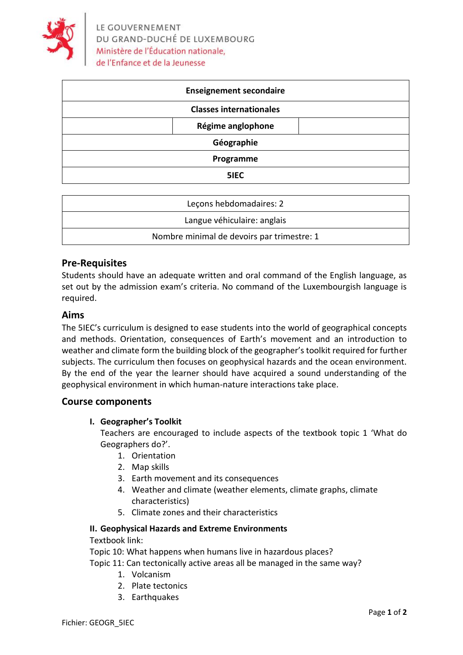

| <b>Enseignement secondaire</b> |                   |  |
|--------------------------------|-------------------|--|
| <b>Classes internationales</b> |                   |  |
|                                | Régime anglophone |  |
| Géographie                     |                   |  |
| Programme                      |                   |  |
|                                | 5IEC              |  |

| Leçons hebdomadaires: 2                    |  |
|--------------------------------------------|--|
| Langue véhiculaire: anglais                |  |
| Nombre minimal de devoirs par trimestre: 1 |  |

# **Pre-Requisites**

Students should have an adequate written and oral command of the English language, as set out by the admission exam's criteria. No command of the Luxembourgish language is required.

### **Aims**

The 5IEC's curriculum is designed to ease students into the world of geographical concepts and methods. Orientation, consequences of Earth's movement and an introduction to weather and climate form the building block of the geographer's toolkit required for further subjects. The curriculum then focuses on geophysical hazards and the ocean environment. By the end of the year the learner should have acquired a sound understanding of the geophysical environment in which human-nature interactions take place.

# **Course components**

# **I. Geographer's Toolkit**

Teachers are encouraged to include aspects of the textbook topic 1 'What do Geographers do?'.

- 1. Orientation
- 2. Map skills
- 3. Earth movement and its consequences
- 4. Weather and climate (weather elements, climate graphs, climate characteristics)
- 5. Climate zones and their characteristics

### **II. Geophysical Hazards and Extreme Environments**

Textbook link:

Topic 10: What happens when humans live in hazardous places?

Topic 11: Can tectonically active areas all be managed in the same way?

- 1. Volcanism
- 2. Plate tectonics
- 3. Earthquakes